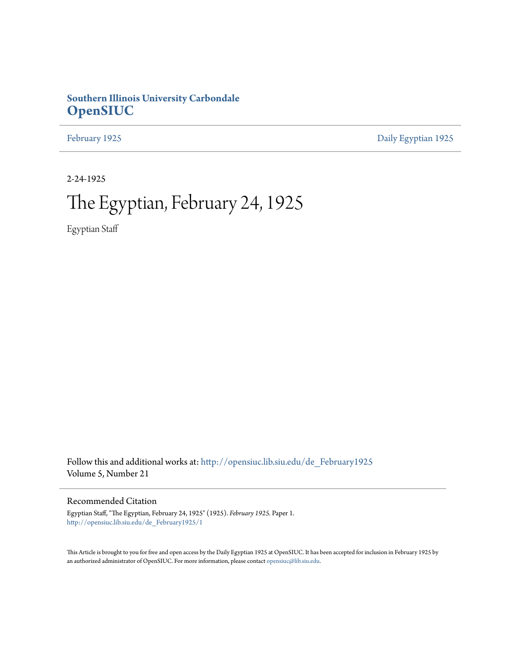### **Southern Illinois University Carbondale [OpenSIUC](http://opensiuc.lib.siu.edu?utm_source=opensiuc.lib.siu.edu%2Fde_February1925%2F1&utm_medium=PDF&utm_campaign=PDFCoverPages)**

[February 1925](http://opensiuc.lib.siu.edu/de_February1925?utm_source=opensiuc.lib.siu.edu%2Fde_February1925%2F1&utm_medium=PDF&utm_campaign=PDFCoverPages) [Daily Egyptian 1925](http://opensiuc.lib.siu.edu/de_1925?utm_source=opensiuc.lib.siu.edu%2Fde_February1925%2F1&utm_medium=PDF&utm_campaign=PDFCoverPages)

2-24-1925

# The Egyptian, February 24, 1925

Egyptian Staff

Follow this and additional works at: [http://opensiuc.lib.siu.edu/de\\_February1925](http://opensiuc.lib.siu.edu/de_February1925?utm_source=opensiuc.lib.siu.edu%2Fde_February1925%2F1&utm_medium=PDF&utm_campaign=PDFCoverPages) Volume 5, Number 21

#### Recommended Citation

Egyptian Staff, "The Egyptian, February 24, 1925" (1925). *February 1925.* Paper 1. [http://opensiuc.lib.siu.edu/de\\_February1925/1](http://opensiuc.lib.siu.edu/de_February1925/1?utm_source=opensiuc.lib.siu.edu%2Fde_February1925%2F1&utm_medium=PDF&utm_campaign=PDFCoverPages)

This Article is brought to you for free and open access by the Daily Egyptian 1925 at OpenSIUC. It has been accepted for inclusion in February 1925 by an authorized administrator of OpenSIUC. For more information, please contact [opensiuc@lib.siu.edu.](mailto:opensiuc@lib.siu.edu)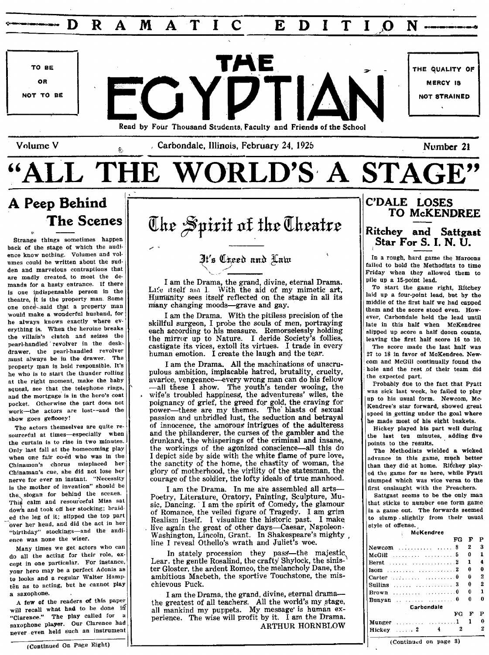A M A T I c E D I T R I N .. O TAE TO BE THE qUALITY OF Read by Four Thousand Students, Faculty and Friends of the School OR MERCY 18 NOT TO BE NOT STRAINED

L THE WORLD'S A STAGE

Volume V  $\frac{1}{36}$  Carbondale, Illinois, February 24, 1925 Number 21

# A Peep Behind The Scenes

Strange things sometimes happen back of the stage of which the audience know nothing. Volumes and vol· umes could be written about the sudden and marvelous contraptions that are madly created to meet the demands for a hasty entrance. If there is one indispensable person in the theatre, it is the property man. Some one once said that a property man would make a wonderful husband, for he always knows exactly where everything is. When the heroine breaks the villain's clutch and seizes the pearl-handled' revolver in the desk, drawer, the pearl-handled revolver must always be iu the drawer. The property man is held responsible. It's he who is to start the thunder rolling at the right moment, make the baby squeal, see that the telephone rings, and the mortgage is in the hero's coat pocket. Otherwise the part does not work-the actors are lost--and the show goes geflooey!

The actors themselves are quite resourceful at times-especially when the curtain Is to rise in two minutes. Only last fall at the homecoming play when one fair co-ed who was in the Chinamen's chorus misplaced her ChInaman's cue, she did not lose her nerve for eyer an instant. "Necessity is the mother of invention" should be the slogan for behind the scenes. This calm and resourceful Miss sat  $down$  and took off her stocking; braided the leg of It; slipped the top part over her head, and did the act in her "birthday" stockings-and the audience was none the wiser.

Many times we get actors who can do al1 the acting for their role, except in one particular. For instance, your hero may be a perfect Adonis as to looks and a regular Walter Hamp· tên as to acting, but he cannot play a saxophone.

A tew *ot* the readers of this paper will recall what had to be done in "Clarence." The play called for a saxophone player. Our Clarence had never even held Such an instrument

# The Spirit of the Theatre

#### It's Creed and Law

I am the Drama, the grand, divine, eternal Drama. Life itself am 1. With the aid of my mimetic art, Humanity sees itself reflected on the stage in all its many changing moods-grave and gay.

I am the Drama. With the pitiless precision of the skillful surgeon, I probe the souls of men, portraying each according to his measure. Remorselessly holding lhe mirror up to Nature. I deride Society's follies, castigate its vices, extoll its virtues. I trade in every human emotion. I create the laugh and the tear.

<sup>I</sup>am the Drama. All the machinations of unscru- pulot}s ambition, implacable hatred, brutality, cruelty, avarice, vengeance—every wrong man can do his fellow<br>—all these I show. The youth's tender wooing, the wife's troubled happiness, the adventuress' wiles, the poignancy of grief, the greed for gold, the craving for power-these are my themes. The blasts of sexual passion and unbridled lust, the seduction and betrayal of innocence, the amoroug intrigues of the adulteress and the philanderer, the curses of the gambler and the drunkard, the whisperings of the criminal and insane, the workings of the agonized conscience-all this do I depict side by side with the white flame of pure love, the sanctity of the home, the chastity of woman, the glory of motherhood, the virility of the statesman, the courage of the soldier, the lofty ideals of true manhood.

I am the Drama. In me are assembled all arts-Poetry, Literature, Oratory. Painting, Sculpture, Music, Dancing. I am the spirit of Comedy, the glamour of Romance, the veiled figure of Tragedy. I am grim Realism itself. I visualize the historic past. I make live again the great of other days-Caesar, Napoleon, Washington, Lincoln, Grant. In Shakespeare's mighty, line I reveal Othello's wrath and Juliet's woe.

In stately procession they pass-the majestic Lear, the gentle Rosalind, the crafty Shylock, the sinister Gloster, the ardent Romeo, the melancholy Dane, the ambitious Macbeth, the sportive Touchstone, the mischievous Puck.

I am the Drama, the grand, divine, eternal drama--the greatest of all teachers. All the world's my stage, all mankind my puppets. My message is human ex-<br>perience. The wise will profit by it. I am the Drama. perience. The wise will profit by it. I am the Drama.<br>ARTHUR HORNBLOW

#### C'DALE LOSES TO McKENDREE Ritchey and Sattgast Star For S. I. N.  $U$ .

In a rough, hard game the Maroons failed to hold the Methodists to time Friday when they allowed them to pile up a 15·point lead.

To start the game right, Ritchey laid up a four-point lead, but by the middle of the first half we had capped them and the score stood even. However, Carbondale held the lead until late in this half when McKendree slipped up score a half dozen counts, leaving the first half score 16 to 10,

The score made the last half was 27 to 18 in favor of McKendree. New-<br>com and McGill continually found the hole and the rest of their team did the expected part.

I Probably due to the fact that Pyatt was sick last week, he failed to play np to his usual form. Newcom, Mc-Kendree's star torward, showed great speed in getting under the goal where he made most of his eight baskets.

Hickey played his part weJl during the last ten minutes, adding five points to the results.

The Methodists wielded a wicked advance in this game, much better than they did at home. Ritchey played the game for us here, while Pyatt slumped which was vice versa to the first onslaught with the Preachers.

Sattgast seems to be the only man that sticks to number one form game In a game out. The forwards seemed to slump. slightly from their usual style of offense.

| McKendree                             |    |   |   |
|---------------------------------------|----|---|---|
|                                       | FG | F | Р |
| Newcom $\ldots$ , $\ldots$ $\ldots$ 8 |    | 2 | 3 |
| McGill                                |    | A | 1 |
| <b>Berst</b>                          |    | 1 | 4 |
| Isom                                  |    | Λ | 0 |
| Carter                                |    | 0 | 2 |
| Sullins                               |    | A | 2 |
| Brown                                 |    | 0 | 1 |
| . 0<br>Bunvan                         |    | 0 | o |
| Carbondale                            |    |   |   |
|                                       | FG | F | P |
| . 1<br>Munger                         |    | 1 | Ω |
| Hickey<br>. 2                         | 2  |   | 2 |
| (Continued on page                    | 3) |   |   |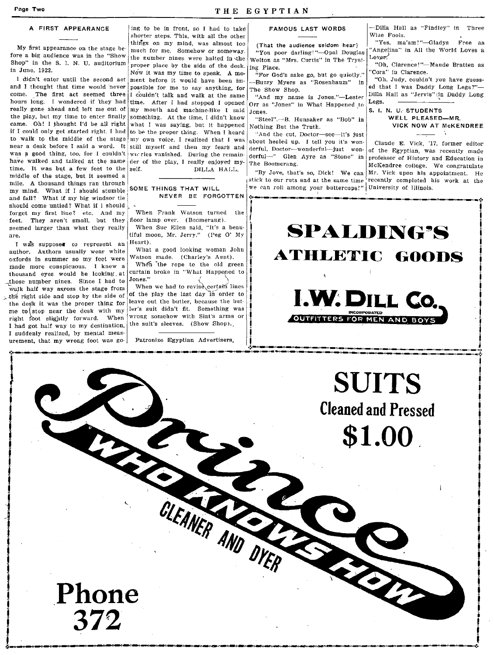#### A FIRST APPEARANCE

I didn't enter until the second a<sup>ct</sup> ment before it would have been im- -Buzzy Myers as "Rosenbaum" in and I thought that time would never possible for me to say anything for me a Cham Cham Cham Cham and I thought that time would never possible for me to say anything, for  $T_{\text{he}}$  Show Shop.<br>come. The first act seemed three I couldn't talk and walk at the same "and my nam come. The first act seemed three I couldn't talk and walk at the same "And my name is Jones."—Lester<br>hours long. I wondered if they had time. After I had stopped I opened  $_{\text{Orr as "Jones" in What Hanned to the "Ampened" is a "Ampened" is a "Ampened" is a "Ampened" is a "Ampened"$ hours long. I wondered it they had time. After I had stopped I opened  $_{\text{Orr}}$  as "Jones" in What Happened to really gone ahead and left me out of my mouth and machine-like I said longs really gone ahead and left me out, of my mouth and machine.like I said Jones.<br>the play, but my time to enter finally something. At the time, I didn't know "Steel",—B. Hunsaker as "Boh" in WELL PLEASED—MR. the play, but my time to enter finally something. At the time, I didn't know "Steel" --B. Hunsaker as "Bob" in<br>came. Oh! I thought I'd be all right what I was saving, but it happened Nothing Put the Turth. came. Oh! I shought I'd be all right what I was saying, but it happened Nothing But the Truth.<br>If I could only get started right. I had to be the proper thing. When I heard wand the cut Dostorif I could only get started right. I had to be the proper thing. When I heard "And the cut, Doctor-see-it's just<br>to walk to the middle of the stage my own voice. I realized that I was about healed up. I tell you it's wonto walk to the middle of the stage my own voice, I realized that I was about healed up. I tell you it's won-<br>near a desk before I said a word. It still myself and then my fears and derful Doctor-wonderful, just won- of th near a desk before I said a word. It still myself and then my fears and derful, Doctor-wonderful-just won of the Egyptian, was recently made<br>was a good thing, too, for I couldn't wo ries vanished. During the remain derfulwas a good thing, too, for I couldn't warries vanished. During the remain- derfu, "Glen Ayre as "Stone" in professor of History and Education in<br>have walked and talked at the same der of the play. I really enjoyed my- may have walked and talked at the same der of the play, I really enjoyed my· The Boomerang.<br>
The Boomerang. McKendree college. We congratulate time. It was but a few feet to the self. The self-self. He feel to the self-self of the stage. but it seemed a self-self. He middle of the stage, but it seemed a I stick to Our ruts and at the same time. The same time is appointment. He<br>Inite the stage of the same time is a strike to our ruts and at the same time recently completed his work at t mile. A thousand things ran through some THINGS THAT WILL and a state we can roll among your buttercups!" University of Illinois.<br>The can roll among your buttercups!" University of Illinois. If could only get started paid on the same of the started paid of the started paid of the started paid of the started paid of the started at the same of the play, I realized that I was a good thing, too, for I could the s and fall? What if my big windsor tie  $\begin{array}{c|c} \text{NEVER} & \text{BE} & \text{FORGOTTEN} \\ \text{should come untied? What if I should} & \text{S.} \\ \text{forget my first line?} & \text{etc.} & \text{And my} \end{array}$  When Frank Watson turned the forget my first line? etc. And my When Frank Watson turned feet. They aren't small, but they floor lamp over. (Boomerang). feet. They aren't small, but they floor lamp over. (Boomerang).<br>seemed larger than what they really When Sue Ellen said, "It's a beau-

I was supposea to represent an author. Authors usually wear white oxfords in summer so my feet wen; made more conspicuous. I knew a thousand eyes would be looking. at those number nines. Since I had to walk half way across the stage from  $\lambda$  the right side and stop by the side of the desk it was the proper thing for me to stop near the desk with my right foot slightly forward. When I had got half way to my destination, I suddenly realized, by mental meas· urement, that my wrong foot was go·

THE EGYPTIAN ing to be in front, so I had to take

shorter steps. This, with all the other<br>things on my mind, was almost too things on my mind, was almost too (That the audience seldom hear) much for me. Somehow or someway. My first appearance on the stage be- much for me. Somehow or someway, "You poor darling!"-Opal Douglas<br>fore a big audience was in the "Show" the number nies were halted in the water new or someway. fore a big audience was in the  $\frac{1}{n}$  show the number nines were halted in the Welton as "Mrs. Curtis" in The Tryst. Shop" in the S. 1. N. U. auditorium proper place by the side of the desk. ing Place.<br>in June, 1922. I didn't enter until the second act meet before it would have been im-<br>I didn't enter until the second act meet before it would have been im-<br> $\frac{F_{\text{NOT}}}{F_{\text{OPT}}}$  Mosenbaum" in

the suit's sleeves.  $(Show Shop)$ .

Patronize Egyptian Advertisers.

, and the contract of  $\mathcal{L}$  , and  $\mathcal{L}$  , and  $\mathcal{L}$  , and  $\mathcal{L}$ 

}<br>}<br>@secure@exampare@exampare@exampare@exampare@exampare@exampare@exampare@exampare@exampare@exampare@exampare@exampare@exampare@exampare@exampare@exampare@exampare

#### FAMOUS LAST WORDS

-Dilla Hall as "Findley" in Three Wise Fools.

I "Yes, ma'am!"-Gladys Free as "Angelina" in All the World Loves a Lover.

"Oh, Clarence!"-Maude Bratten as "Cora" iu Clarence.

"Oh, Judy, couldn't you have guess· ed that I was Daddy Long Legs?"-Dilla Hall as "Jervis" (in Daddy Long Legs.

#### VICK NOW AT McKENDREE

,<br>,<br>,<br>,<br>,<br>,<br>,<br>,<br>,<br>,<br><br>,<br><br><br><br><br><br><br>

I

į. I<br>I<br>I i j



I I SUITS<br>Cleaned and Pressed<br>\$1.00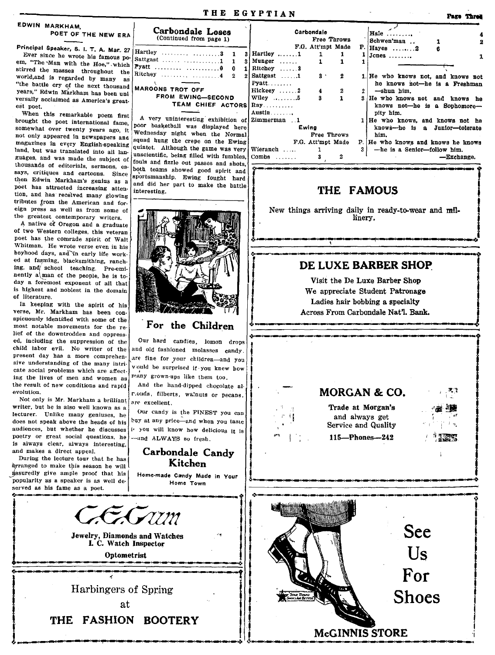#### EDWIN MARKHAM, POET OF THE NEW ERA

Principal Speaker, S. I. T. A. Mar. 27 Ever since he wrote his famous poem, "The Man with the Hoe," which stirred the masses throughout the world, and is regarded by many as "the battle cry of the next thousand years," Edwin Markham has been unt versally acclaimed as America's greatest poet.

When this remarkable poem first brought the poet international fame, somewhat over twenty years ago, it not only appeared in newspapers and magazines in every English-speaking land, but was translated into all languages, and was made the subject of thousands of editorials, sermons, essays, critiques and cartoons. Since then Edwin Markham's genius as a poet has attracted increasing attention, and has received many glowing tributes from the American and foreign press as well as from some of the greatest contemporary writers.

A native of Oregon and a graduate of two Western colleges, this veteran poet has the comrade spirit of Walt Whitman. He wrote verse even in his boyhood days, and in early life worked at fanming, blacksmithing, ranching, and/ school teaching. Pre-eminently a man of the people, he is today a foremost exponent of all that is highest and noblest in the domain of literature.

In keeping with the spirit of his verse, Mr. Markham has been conspicuously identified with some of the most notable movements for the relief of the downtrodden and oppressed, including the suppression of the child labor evil. No writer of the present day has a more comprehensive understanding of the many intricate social problems which are affecting the lives of men and women as the result of new conditions and rapid evolution.

Not only is Mr. Markham a brilliant writer, but he is also well known as a lecturer. Unlike many geniuses, he does not speak above the heads of his audiences, but whether he discusses poetry or great social questions, he is always clear, always interesting, and makes a direct appeal.

During the lecture tour that he has ayranged to make this season he will assuredly give ample proof that his popularity as a speaker is as well deserved as his fame as a poet.

Carbondale Loses (Continued from page 1) Hartley .......... ...........3 Sattgast ........................1  $\mathbf{0}$ 

THE EGYPTIAN

**MAROONS TROT OFF** FROM EWING-SECOND TEAM CHIEF ACTORS

A very uninteresting exhibition o poor basketball was displayed here Wednesday night when the Norma squad hung the crepe on the Ewing quintet. Although the game was very unscientific, being filled with fumbles, fouls and fizzle out passes and shots, both teams showed good spirit and sportsmanship. Ewing fought hard and did her part to make the battle interesting.



#### For the Children

Our hard candies, lemon drops and old fashioned molasses candy. are fine for your children-and you would be surprised if you knew how many grown-ups like them too.

And the hand-dipped chocolate alr.onds, filberts, walnuts or pecans. are excellent.

Our candy is the FINEST you can buy at any price-and when you taste i you will know how delicious it is and ALWAYS so fresh.

#### Carbondale Candy Kitchen

Home-made Candy Made in Your Home Town

Jewelry, Diamonds and Watches I. C. Watch Inspector

Optometrist



|                          |                                     | Carbondale        |             |                               | Hale $\ldots$                      |  |
|--------------------------|-------------------------------------|-------------------|-------------|-------------------------------|------------------------------------|--|
|                          |                                     |                   | Free Throws |                               | Schwen'man                         |  |
| $\overline{\phantom{0}}$ |                                     | F.G. Att'mpt Made |             |                               | $P.$ Hayes  2                      |  |
|                          | $3$ Hartley $\dots$ 1               |                   | 1           |                               | $1   Jones \dots \dots$            |  |
|                          | 3 Munger                            |                   |             |                               |                                    |  |
| 1                        | Ritchey 3                           |                   |             |                               |                                    |  |
|                          | $2$   Sattgast 1                    | $\mathbf{a}$ .    | 2           |                               | 1. He who knows not, and knows not |  |
|                          | $\text{Pyatt}$                      |                   |             |                               | he knows not-he is a Freshman      |  |
|                          | $Hickeey$ 2                         | 4                 | 2           | 21                            | --shun him.                        |  |
|                          | $\sqrt{W1}$ wiley $\ldots \ldots 5$ | 3                 | 1           | 2                             | He who knows not and knows he      |  |
|                          | $\mathsf{B}   \mathbf{Ray}$         |                   |             |                               | knows not-he is a Sophomore-       |  |
|                          | $A$ ustin $\ldots$                  |                   |             |                               | pity him.                          |  |
|                          | fl Zimmerman 1                      |                   |             |                               | 1 He who knows, and knows not he   |  |
| A.                       | Ewina                               |                   |             | knows-he is a Junior-tolerate |                                    |  |
|                          | Free Throws                         |                   |             | him.                          |                                    |  |
| ŗ.                       |                                     | F.G. Att'mpt Made |             |                               | P. He who knows and knows he knows |  |
|                          | Wieranch                            |                   |             | 3                             | -he is a Senior-follow him.        |  |
|                          | Combe                               |                   |             |                               | —Erchange                          |  |

Page Three

### THE FAMOUS

New things arriving daily in ready-to-wear and millinery.

#### DE LUXE BARBER SHOP

Visit the De Luxe Barber Shop We appreciate Student Patronage Ladies hair bobbing a specialty Across From Carbondale Nat'l. Bank.



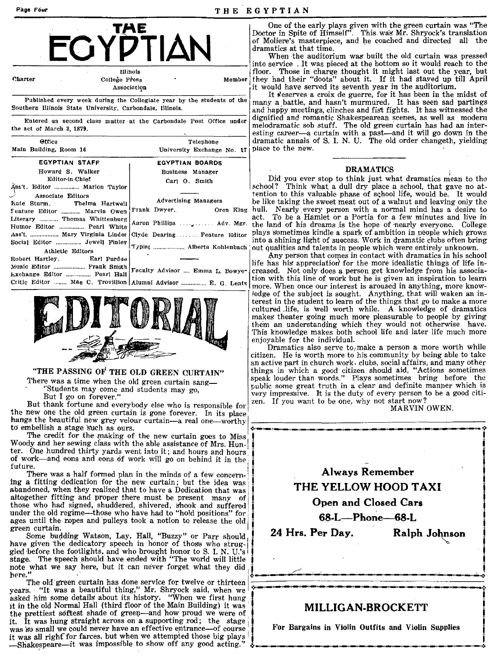

College Press<br>
Association<br>
Association<br>
Published every week during the Collegiate year by the students of the many a battle, and hasn't murmured. It has been in the midst of<br>
Published every week during the Collegiate ye **Affice** Main Building, Room 16 Telephone  $\begin{cases} \text{dramatic annals} \\ \text{University Exchange No. 17} \text{ place to the new.} \end{cases}$ EGYPTIAN STAFF (EGYPTIAN BOARDS Howard S. Walker Business Manager DRAMATICS, Editor-in-Chief Editor-in-Chief Business Manager<br>
Editor-in-Chief Carl O. Smith Did you ever stop to think just what dramatics mean to the<br>
School? Think what a dull dry place a school, that gave no at-

| Associate Editors                        |                                                           | tention to this valuable phase of school life, would be. It would                                                                                   |
|------------------------------------------|-----------------------------------------------------------|-----------------------------------------------------------------------------------------------------------------------------------------------------|
| Kate Sturm.<br>Thelma Hartwell           | <b>Advertising Managers</b>                               | be like taking the sweet meat out of a walnut and leaving only the                                                                                  |
| Feature Editor  Marvin Owen Frank Dwyer. |                                                           | Oren King hull. Nearly every person with a normal mind has a desire to                                                                              |
|                                          |                                                           | act. To be a Hamlet or a Portia for a few minutes and live in                                                                                       |
|                                          |                                                           | Literary  Thomas Whittenburg<br>Humor Editor  Pearl White Aaron Phillips , Adv. Mgr. the land of his dreams is the hope of nearly everyone. College |
|                                          | Ass't.  Mary Virginia Linder Clyde Dearing Feature Editor | plays sometimes kindle a spark of ambition in people which grows                                                                                    |
|                                          |                                                           | into a shining light of success. Work in dramatic clubs often bring                                                                                 |
| Athletic Editors                         |                                                           |                                                                                                                                                     |
| Robert Hartley.<br>Earl Purdue           |                                                           | Any person that comes in contact with dramatics in his school                                                                                       |
|                                          |                                                           | life has his appreciation for the more idealistic things of life in-                                                                                |
|                                          |                                                           |                                                                                                                                                     |
|                                          |                                                           | ltion with this line of work but he is given an inspiration to learn                                                                                |



But thank fortune and everybody else who is responsible for  $\begin{vmatrix} 2e\pi & 11 \end{vmatrix}$  you want to be one, why not start now.<br>NARVIN OWEN. the new one the old green curtain is gone forever. In its place hangs the beautiful new grey velour curtain-a real one-worthy I------------~~~~~~ \_\_\_\_\_\_\_\_ \_ to embellish ~ stage 'such as. ours. . -:"-,\_" \_\_ ,, \_\_ ,\_, \_\_ ,\_,\_, \_\_\_ ,\_, \_\_ , \_\_\_\_\_\_ '?

The credit for the making of the new curtain goes to Miss Woody and her sewing class with the able assistance of Mrs. Hunter. One hundred thirty yards went into it; and hours and hours

under the old regime—those who have had to "hold positions" for  $\begin{bmatrix} 68-L \ \text{ages until the ropes and pulleys took a notion to release the old} \end{bmatrix}$   $\begin{bmatrix} 68-L \ \text{green curtain.} \end{bmatrix}$ green curtain.  $\begin{bmatrix} 1 & 0 & 0 \\ 0 & 0 & 0 \end{bmatrix}$  and  $\begin{bmatrix} 0 & 0 \\ 0 & 0 \end{bmatrix}$  and  $\begin{bmatrix} 0 & 0 \\ 0 & 0 \end{bmatrix}$ 

have given the dedicatory speech in honor of those who strug-

The old green curtain has done service for twelve or thirteen<br>years. "It was a beautiful thing," Mr. Shryock said, when we<br>asked him some details about its history. "When we first hung it in the old Normal Hall (third floor of the Main Building) it was the prettiest softest shade of green—and how proud we were of it. It was hung straight across on a supporting rod; the stage was so small we could never have an effective entrance--of course it was all right for farces, but when we attempted those big plays -Shakespeare-it was impossible to show off any good acting."

One of the early plays given with the green curtain was "The Doctor in Spite of Himself". This was' Mr. Shryock's translation of Moliere's masterpiece, and he coached and directed all the dramatics at that time.

When the auditorium was' built the old curtain was pressed into service . It was pieced at the bottom so it would reach to the Illinois and the year, but allinois and the year, but the year, but allinois college Press Member they had their "doots" about it. If it had stayed up till April

Published every week during the Collegiate year by the students of the many a battle, and hasn't murmured. It has seen sad partings.<br>Southern Illinois State University, Carbondale, Illinois.<br>And happy meetings, clinches an Entered as second class matter at the Carbondale Post Office under dignified and romantic Shakespearean scenes, as well as modern the act of March 3, 1879. esting career-a curtain with a past-and it will go down in the dramatic annals of S. I. N. U. The old order changeth, yielding

school? Think what a dull dry place a school, that gave no attention to this valuable phase of school life, would be. It would be like taking the sweet meat out of a walnut and leaving only the hull. Nearly every person with a normal mind has a desire to hull. Nearly every person with a normal mind has a desire to act. To be a Hamlet or a Portia for a few minutes and live in plays sometimes kindle a spark of ambition in people which grows into a shining light of success. Work in dramatic clubs often bring out qualities and talents in people which were entirely unknown.

Any person that comes in contact with dramatics in his school life has his appreciation for the more idealistic things of life in-<br>creased. Not only does a person get knowledge from his associa-<br>tion with this line of work but he is given an inspiration to learn Critic Editor ....... Mae C. Trovillion Alumni Advisor ................. E. G. Lentz more. When once our interest is aroused in anything, more knowledge of the subject is sought. Anything, that will waken an interest in the student to learn of the things that go to make a more cultured Jife, is well worth while. A knowledge of dramatics cultured life, is well worth while. A knowledge of dramatics makes theater going much more pleasurable to people by giving them an understanding which they would not otherwise have. This knowledge makes both school life and later life much more enjoyable for the individual.

Dramatics also serve to make a person a more worth while citizen. He is worth more to his community by being able to take an active part in church work, clubs, social affairs, and many other "THE PASSING OF THE OLD GREEN CURTAIN" things in which a good citizen should aid, "Actions sometimes" the channel speak louder than words." Plays sometimes bring before the There was a time when the old green curtain sang-<br>
Students may come and students may go, public some great truth in a clear and definite manner which is the some great truth in a clear and definities manner which is the But I go on forever."  $\begin{bmatrix} \text{S} \\ \text{S} \\ \text{S} \end{bmatrix}$  (see the duty of every person to be a good citi-<br>But I go on forever."<br>thank fortune and every hody else who is responsible for zen. If you want to be one, why not sta



#### **MILLIGAN-BROCKETT**

For Bargains in Violin Outfits and Violin Supplies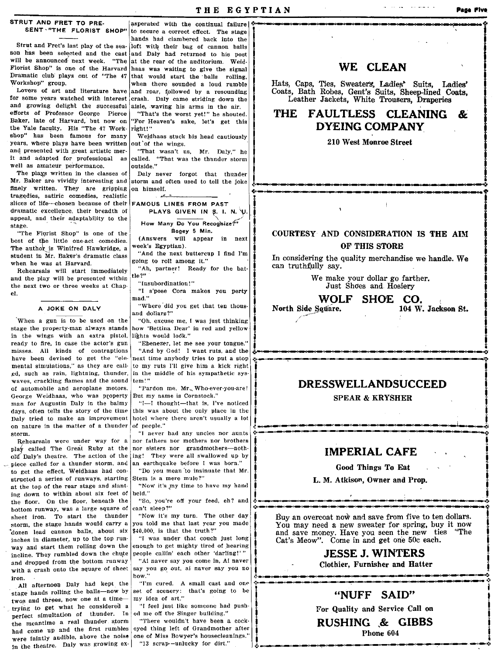## STRUT AND FRET TO PRE- asperated with the continual failure  $\frac{1}{2}$  SENT  $\cdot$  "THE FLORIST SHOP" to secure a correct effect. The stage

Strut and Fret's last play of the season has been selected and the cast and Daly had returned to his post will be announced next week. "The at the rear of the auditorium. Weid-Florist Shop" is one of the Harvard haas was waiting to give the signal Dramatic club plays out of "The  $47$  that would start the balls rolling, Dramatic club plays out of "The 47 Workshop" group,

for some years watched with interest<br>and growing delight the successful and growing delight the successful aisle, waving his arms in the air.<br>efforts of Professor George Pierce "That's the worst vet!" he shouted efforts of Professor George Pierce "That's the worst yet!" he shouted.<br>Baker, late of Harvard, but now on "For Heaven's sake, let's get this the Yale faculty. His "The 47 Work-<br>shop" has been famous for many years, where plays have been written out of the wings.<br>and presented with great artistic mer. "That wasn't us. Mr. Daly." he and presented with great artistic mer-<br>it and adapted for professional as well as amateur performance.<br>The plays written in the classes of

Mr. Baker are vividly interesting and storm and often used to tell the joke and the second control of the second control of the second control of the second control of the second control of the second control of the second slices of life--chosen because of their FAMOUS LINES FROM PAST dramatic excellence, their breadth of PLAYS GIVEN IN  $\mathbf{g}$ . I. N,  $\mathbf{v}$ . appeal, and their adaptability to the stage.

"The FIQrist Shop" is one of the best of the little one-act comedies. The author is Winifred Hawkridge, a student in Mr, Baker's dramatic class when he was at Harvard.

Rehearsals will start immediately and the play will be presented within  $\frac{f_{\text{II}}}{f_{\text{II}}}$  "Insubordination!" the next two or three weeks at ChapeL

#### A JOKE ON DALY

When a gun is to be used on the stage the property-man always stands in the wings with an extra pistol, lights would look." ready to fire, in case the actor's gun misses. All kinds of contraptions have been devised to get the "elemental simulations," as they are calI ed, such as rain, lightning, thunder, in the waves, crackling flames and the sound tem!" waves, crackling flames and the sound of automobile and aeroplane motors. "Pardon me. Mr. Who ever-you-are! George Weidhaas, who was property man for Augustin Daly in the balmy days, often tells the story of the time Daly tried to make an improvement on nature in the matter of a thunder storm.

Rehearsals were under way for a play called The Great Ruby at the old Daly's theafre. The action of the piece called for a thunder storm, and to get the effect, Weidhaas had con· structed a series of runways, starting at the top of the rear stage and slant· ing down to within about six feet of the floor. On the floor, beneath the bottom runway, was a large square of sheet iron. To start the thunder storm, the stage hands would carry a dozen lead cannon balls, about six \$40,000, is that the truth?" inches in diameter, up to the top runway and start them rolling down the incline. They rumbled down the chute and dropped from the bottom runway with a crash onto the square of sheet iron.

All afternoon Daly had kept the stage hands rolling the balls-now by twos and threes, now one at a timetrying to get what he considered a perfect simultation of thunder. In the meantime a real thunder storm hall come up and the first rumbles were faintly audible, above the noise In the theatre. Daly was growing ex·

to secure a correct effect. The stage hands had clambered back into the at the rear of the auditorium. Weidforkshop" group.<br>Lovers of art and literature have and roar, followed by a resounding and roar, followed by a resounding<br>crash. Daly came striding down the

"For Heaven's sake, let's get this right!"

Weidhaas stuck his head cautiously out of the wings.

called. "That was the thunder storm outside."

Daly never forgot that thunder Mr. Baker are vividly interesting and storm and often used to tell the joke finely written. They are gripping on himself.

How Many Do You Recognize?" Bogey 5 Min,

(Answers will appear in next week's Egyptian).

"And the next buttercup I find I'm going to roll among it."

"Ah, partner! Ready for the bat-<br>tle?"

"I s'pose Cora makes you perty mad."

"Where' did you get that ten thous· and dollars?"

"Oh. excuse me, I was just thinking how 'Bettina Dear' in red and yellow

"Ebenezer. let me see your tongue." "And by God! I want ruts, and the next time anybody tries to put a stop to my ruts I'll give him a kick right<br>in the middle of his sympathetic sys-

But my name is Cornstock."

"I-I thought-that is, I've noticed this was about the only place in the hotel where there aren't usually a lot of people."

"I never had any uncles nor aunts nor fathers nor mothers nor brothers nor sisters nor grandmothers-nothing! They were all swallowed up by an earthquake before I was born."

"Do you mean 'to insinuate that Mr. Stem is a mere mule?"

"Now it's my time to have my hand held."

"So, you're off your feed, eh? and can't sleep?"

"Now it's my turn. The other day you told me that last year you made

"I was under that couch just long enough to get mighty tired of hearing people callin' each other 'darling!'"

"Ai naver say you come in, Ai naver say you go out, ai naver say you no how."

"I'm cured. A small cast and one set of scenery: that's going to be my idea of art."

"I feel just like someone had push· ed me off the Singer building."

"There wouldn't have been a cock· eyed thing left of Grandmother after one of Miss Bowyer's housecleanings." "13 scrap--unlucky for dirt."

#### WE CLEAN

**\_\_ a \_\_ \_** 

Hats, Caps, Ties, Sweaters, Ladies' Suits, Ladies' Coats, Bath Robes, Gent's Suits, Sheep-lined Coats, Leather Jackets, White Trousers, Draperies

#### THE FAULTLESS CLEANING DYEING COMPANY &

210 West Monroe Street

#### COURTESY AND CONSIDERATION IS THE AIM OF THIS STORE

In considering the quality merchandise we handle. We can truthfully say.

We make your dollar go farther. Just Shoes and Hosiery

WOLF SHOE CO.

North Side Square. / -------

|<br>|<br>|-

I

.'

i\_ I

i

104 W. Jackson St.

 $\ddotsc$ 

. ........ :: .

### ; DRESSWELLANDSUCCEED i.'

.:.,.----.. ----.. ---"'----{-~~~.:. ·:i'-"--"~--'---'--'------ "'1

, SPEAR & KRYSHER I i

.!\_~..-.c\_~~~I~ t . i

# **IMPERIAL CAFE**<br>Good Things To Eat

**1988 Good Things To Eat**<br> **L. M. Atkison, Owner and I** L. M. Atkison, Owner and Prop. .: I ............... \_\_\_ ................. ...-.c \_\_ -.c \_\_\_ c\_~~..-.n\_~

Buy an overcoat now and save from five to ten dollars.<br>You may need a new sweater for spring, buy it now<br>and save money Have you seen the new ties "The and save money. Have you seen the new ties "The Cat's Meow". Come in and get one 50c each.

• :.f-,' .... ~-~t~---~-'~-'----....... ~!~~·i4

JESSE J. WINTERS

Clothier, Furnisher and Hatter j t!.~~~ *........* \_~ *\_\_\_* **l1li** ~~~~''''''.:.  $\begin{array}{l} \begin{array}{c} \text{N} & \text{N} & \text{N} & \text{N} & \text{N} \\ \text{N} & \text{N} & \text{N} & \text{N} & \text{N} \\ \text{N} & \text{N} & \text{N} & \text{N} & \text{N} \\ \text{N} & \text{N} & \text{N} & \text{N} & \text{N} \\ \text{N} & \text{N} & \text{N} & \text{N} & \text{N} \\ \end{array} \end{array} \end{array} \label{eq:3}$ 



Page Five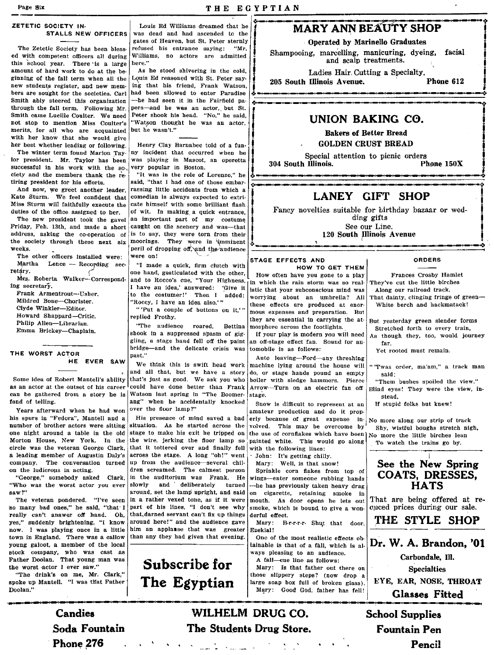#### THE EGYPTIAN

#### ZETETIC SOCIETY IN. STALLS NEW OFFICERS

The Zetetic Society has been blessed with competent officers all during this school year. There is a large amount of hard work to do at the beginning of the fall term when all the new students register, and new members are sought for the societies. Carl Smith ably steered this organization through the fall term. Following Mr. Smith came Lucille Coulter. We need not stop to mention Miss Coulter's merits, for all who are acquainted with her know that she would give her best whether leading or following.

The winter term found Marion Taylor president. Mr. Taylor has been successful in his work with the society and the members thank the retiring president for his efforts.

And now, we greet another leader, Kate Sturm. We feel confident that Miss Sturm will faithfully execute the duties of the office assigned to her.

The new president took the gavel Friday, Feb. 13th, and made a short address, asking the co-operation of the society through these next six weeks.

The other officers installed were: Martha Lence - Recording secretáry.

Mrs. Roberta Walker-Corresponding secretary.

Frank Armentrout-Usher. Mildred Bone-Chorister. Clyde Winkler-Editor. Howard Shappard-Critic. Philip Allen-Librarian. Emma Brickey-Chaplain.

THE WORST ACTOR HE EVER SAW

Some idea of Robert Mantell's ability as an actor at the outset of his career can be gathered from a story he is Watson last spring in "The Boomerfond of telling.

Years afterward when he had won his spurs in "Fedora", Mantell and a number of brother actors were sitting one night around a table in the old Morton House, New York. In the circle was the veteran George Clark. a leading member of Augustin Daly's company. The conversation turned on the ludicrous in acting.

"George," somebody asked Clark, "Who was the worst actor you ever  $92w$ ?

The veteran pondered. "I've seen so many bad ones," he said, "that I really can't answer off hand. Oh, yes," suddenly brightening, "I know now. I was playing once in a little town in England. There was a callow young galoot, a member of the local stock company, who was cast as Father Doolan. That young man was the worst actor I ever saw."

"The drink's on me, Mr. Clark," spoke up Mantell. "I was that Father Doolan."

> **Candies** Soda Fountain Phone 276

Louis Ed Williams dreamed that he was dead and had ascended to the gates of Heaven, but St. Peter sternly refused his entrance saving: "Mr. Williams, no actors are admitted here."

As he stood shivering in the cold, Louis Ed reasoned with St. Peter saying that his friend. Frank Watson. had been allowed to enter Paradise -he had seen it in the Fairfield papers-and he was an actor, but St. Peter shook his head. "No," he said, "Watson thought he was an actor. but he wasn't."

Henry Clay Barnabee told of a funny incident that occurred when he was playing in Mascot, an operetta very popular in Boston.

"It was in the role of Lorenzo." he said, "that I had one of those embarrassing little accidents from which a comedian is always expected to extricate himself with some brilliant flash of wit. In making a quick entrance. an important part of my costume caught on the scenery and was-that is to say, they were torn from their moorings. They were in imminent peril of dropping off, and the audience were on!

"I made a quick, firm clutch with one hand, gesticulated with the other, and to Rocco's cue, "Your Highness, I have an idea,' answered: 'Give it to the costumer!' Then I added: "Roccy, I have an idea also.'"

"'Put a couple of buttons on it,'" replied Frothy.

"The audience roared, Bettina shook in a suppressed spasm of giggling, a stage hand fell off the paint bridge-and the delicate crisis was past."

We think this is swift head work and all that, but we have a story that's just as good. We ask you who could have done better than Frank ang" when he accidentally knocked over the floor lamp?"

His presence of mind saved a bad situation. As he started across the stage to make his exit he tripped on the wire, jerking the floor lamp so that it tottered over and finally fell across the stage. A long "oh!" went up from the audience-several children screamed. The calmest person in the auditorium was Frank. He slowly and deliberately turned around, set the lamp upright, and said in a rather vexed tone, as if it were part of his lines, "I don't see why that, darned servant can't fix up things around here!" and the audience gave him an applanse that was greater than any they had given that evening.

Subscribe for

### **MARY ANN BEAUTY SHOP**

**Operated by Marinello Graduates** 

Shampooing, marcelling, manicuring, dyeing, facial and scalp treatments.

Ladies Hair. Cutting a Specialty. 205 South Illinois Avenue.

Phone 612

#### UNION BAKING CO.

**Bakers of Better Bread GOLDEN CRUST BREAD** 

Special attention to picnic orders 304 South Illinois. Phone 150X

#### **LANEY GIFT SHOP**

Fancy novelties suitable for birthday bazaar or wedding gifts

See our Line.

120 South Illinois Avenue

#### STAGE EFFECTS AND

HOW TO GET THEM How often have you gone to a play in which the rain storm was so realistic that your subconscious mind was worrying about an umbrella? All these effects are produced at enormous expenses and preparation. But they are essential in carrying the atmosphere across the footlights.

If your play is modern you will need an off-stage effect fan. Sound for automobile is as follows:

Auto leaving-Ford-any threshing machine lying around the house will do, or stage hands pound an empty boiler with sledge hammers. Pierce Arrow-Turn on an electric fan off stage.

Snow is difficult to represent at an amateur production and do it properly because of great expense involved. This may be overcome by the use of cornflakes which have been) painted white. This would go along with the following lines:

John: It's getting chilly. Mary: Well, is that snow!

Sprinkle corn flakes from top of wings-enter someone rubbing hands -he has previously taken heavy drag cigarette, retaining smoke in on. mouth. As door opens he lets out smoke, which is bound to give a wonderful effect.

Mary: B-r-r-r-r- Shut that door, Ezekial!

One of the most realistic effects obtainable is that of a fall, which is always pleasing to an audience. A fall-cue line as follows:

Mary: Is that father out there on those slippery steps? (now drop a large soap box full of broken glass). Mary: Good God, father has fell!

#### **ORDERS**

Frances Crosby Hamlet They've cut the little birches Along our railroad track, That dainty, clinging fringe of green-White berch and hackmatack! But yesterday green slender forms Stretched forth to every train. As though they, too, would journey far. Yet rooted must remain.

"'Twas order, ma'am," a track man said:

"Them bushes spoiled the view." Blind eyes! They were the view, instead.

If stupid folks but knew!

No more along our strip of track Shy, wistful boughs stretch nigh, No more the little birches lean To watch the trains go by.

#### See the New Spring COATS, DRESSES, **HATS**

That are being offered at requeed prices during our sale.

THE STYLE SHOP

Dr. W. A. Brandon, '01

Carbondale, Ill.

**Specialties** 

EYE, EAR, NOSE, THROAT

**Glasses Fitted** 

### **School Supplies Fountain Pen** Pencil

The Egyptian

WILHELM DRUG CO.

The Students Drug Store.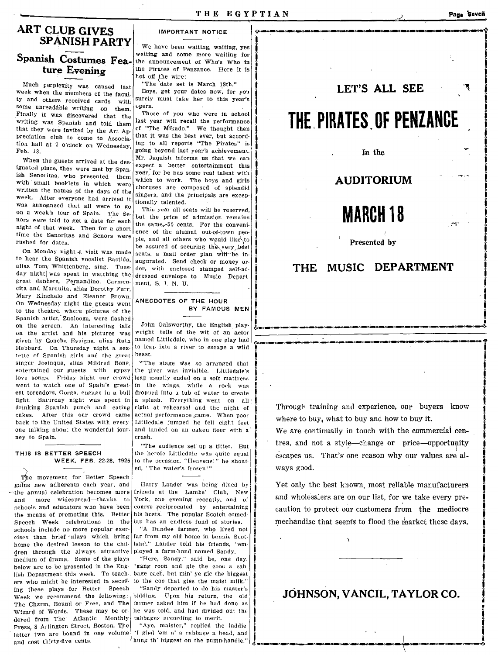#### THE EGYPTIAN **Page Sevent**

# **ART CLUB GIVES** IMPORTANT NOTICE<br>**SPANISH PARTY**

Much perplexity was caused  $\begin{bmatrix} \text{18} & \text{18} \\ \text{19} & \text{19} \\ \text{19} & \text{19} \\ \text{19} & \text{19} \\ \text{19} & \text{19} \\ \text{19} & \text{19} \\ \text{19} & \text{19} \\ \text{19} & \text{19} \\ \text{19} & \text{19} \\ \text{10} & \text{19} \\ \text{10} & \text{19} \\ \text{10} & \text{19} \\ \text{10} & \text{19} \\ \text{10$ week when the members of the facul- Boys, get your dates now, for you ty and others received cards with surely must take her to this year's ty and others received cards with surely some unreadable writing on them opera. some unreadable writing on them. opera.<br>Finally it was discovered that it. Those of you who were in school Finally it was discovered that the Those of you who were in school writing was Suanish and told them last year will recall the performance writing was Spanish and told them  $\begin{bmatrix} \text{last year} \\ \text{off} \\ \text{of} \end{bmatrix}$  will recall the performance that they were invited by the Art Ap of "The Mikado." We thought then that they were invited by the Art  $\overline{AP}$  of "The Mikado." We thought then precision club to come to Associa that it was the best ever, but accordpreciation club to come to Associa- that it was the best ever, but accord-<br>tion hall at 7 o'clock on Wednesday ing to all reports "The Pirates" is tion hall at 7 o'clock on Wednesday,  $Feb. 18$ .

When the guests arrived at the designated place, they were met by Spanish Senoritas, who presented them with small booklets in which were written the names of the days of the week. After everyone had arrived it<br>was annownced that all were to go was annumineed that all were to go  $\begin{array}{c|c}$  This year all seats will be reserved,<br>none were told to got a data see but the price of admission remains nors were told to get a date for each  $\begin{bmatrix} \text{but the price of automorphism} \\ \text{the same} \end{bmatrix}$  cents. For the conveninight of that week. Then for a short  $\begin{cases}$  the same, so cents. For the conveni-<br>time the Saturdian sub  $\tilde{S}$ time the Senoritas and Senors were  $r_{\text{univ}}$  and  $r_{\text{univ}}$  and all others who would like to rushed for dates.

On Monday night -a visit was made to hear the Spanish vocalist Bastida, alias Tom, Whittenberg, sing. Tuesday night( was spent in watcbing the great dancers, Fernandino, Carmencita and Marquita, alias Dorothy Furr. Mary Kinchelo and Eleanor Brown. On Wednesday night the guests went to the theatre, where pictures of the Spanish artist, Zuolooga, were flashed on the screen. An interesting talk  $\begin{vmatrix} John Galsworth, the English play on the artist and his pictures was with the suffix of the wit of an actor.$ on the artist and his pictures was given by Concha Espigna, alias Ruth named Littledale, who in one play had Hebbard. On Thursday night a sex. to leap into a river to escape a wild Hebbard. On Thursday night a sex- to leap to the state of Spanish girls and the great beast. tette of Spanish girls and the great<br>singer Josinqua, alias Mildred Bone. singer Josinqua, alias Mildred Bone, "The stage was so arranged that entertained our guests with gypsy the giver was invisible. Littledale's entertained our guests with gypsy the river was invisible. Littledale's love songs. Friday night our crowd leap usually ended on a soft mattress went to watch one of Spain's great- in the wings, while a rock was est toreadors, Gorga, engage in a bull dropped into a tub of water to create fight. Saturday night was spent in a splash. Everything went on all drinking Spanish punch and eating right at rehearsal and the night of cakes. After this our crowd came actual performance came. When poor back to the United States with every- Littledale jumped he fell eight feet one talking about tbe wonderful jour- and landed on an oaken fioor with a ney to Spain. crash.

The movement for Better Speech gains new adherents each year, and Harry Lauder was being dined by the annual celebration becomes more friends at the Lambs' Club, New<br>and more widespread—thanks to York, one evening recently, and of and more widespread—thanks to York, one evening recently, and of schools and educators who have been course reciprocated by entertaining the means of promoting this. Better his hosts. The popular Scotch comed-Speech Week celebrations in the ian has an endless fund of stories. schools include no more popular exer-<br>cises than brief 'plays which bring far from my old home in bonnie Scotcises than brief plays which bring home the desired lesson to the chil- land," Lauder told his friends, "emdren through the always attractive medium of drama. Some of the plays below are to he presented in the Eng· lish Department this week. To teachers who might be interested in secufing these plays for Better Speech Week we recommend the following: The Charm, Bound or Free, and The Wizard Of Words. These may be ordered from The Atlantic Monthly Press, 8 Arlington Street, Boston. The latter two are bound in one volume "I gied 'em a' a cabbage a head, and and cost thirty·five cents.

We have been waiting, waiting, yes waiting and some more waiting for Spanish Costumes Fea- waiting and some more waiting for **ture** Everiin .. g the Pirates of Penzance. Here it is

hot off the wire:<br>"The date set is March 18th."

going beyond last year's achievement. Mr\_ Jaquish informs us that we can expect a better entertainment this year, for he has some real talent with which to work. The boys and girls choruses are composed of splendid singers. and the principals are exceptionally talented.

be assured of securing the very best seats, a mail order plan will be inaugurated. Send check or money order, with enclosed stamped self-ad· dressed envelope to Music Depart· ment, S. I. N. U.

#### ANECDOTES OF THE HOUR BY FAMOUS MEN

leap usually ended on a soft mattress. dropped into a tub of water to create actual performance came. When poor

"The audience set up a titter. But THIS IS BETTER SPEECH  $\begin{vmatrix}$  the heroic Littledale was quite equal WEEK, FEB. 22-28, 1925 to the occasion. "Heavens!" he shoutto the occasion. "Heavens!" he shouted, "The water's frozen""

played a farm·hand named Sandy.

"Here, Sandy," said he, one day, 'gang roon and gie the coos a cabhage each, but min' ye gie the higgest to the coo that gies the maist milk." "Sandy departed to do his master's hidding. Upon his return, the old farmer asked him if he had done as he was told, and had divided out the cabbages according to merit.

ing and the state of the state of the state of the state of the state of the state of the state of the state o<br>In the state of the state of the state of the state of the state of the state of the state of the state of the<br>

į. į |<br>|<br>|---

"Aye, maister," replied the laddie,  $\lceil \frac{\ln n}{n} \cdot \frac{\ln n}{n} \cdot \frac{\ln n}{n} \cdot \frac{\ln n}{n} \cdot \frac{\ln n}{n} \cdot \frac{\ln n}{n} \cdot \frac{\ln n}{n} \cdot \frac{\ln n}{n} \cdot \frac{\ln n}{n} \cdot \frac{\ln n}{n} \cdot \frac{\ln n}{n} \cdot \frac{\ln n}{n} \cdot \frac{\ln n}{n} \cdot \frac{\ln n}{n} \cdot \frac{\ln n}{n} \cdot \frac{\ln n}{n} \cdot \frac{\ln n}{n} \cdot \frac{\ln n}{n} \cdot \frac{\ln n}{n} \cdot \frac{\ln n}{n} \cdot \frac{\ln n}{n} \cdot \frac{\ln n}{n$ 

#### LET'S ALL SEE

# THE PIRATES OF PENZANCE

In the

#### **AUDITORIUM**

# **MARCH 18**

Presented by

#### MUSIC DEPARTMENT **THE**

Through training and experience, our buyers know where to buy, what to buy and how to buy it.<br>We are continually in touch with the commercial cen-

I I

l--~-'-----' ----~--~~~---------------~ I

tres, and not a style-change or price-opportunity escapes us. That's one reason why our values are always good.

Yet only the best known, most reliable manufacturers and wholesalers are on our list, for we take every preand wholesalets are on our mot, for we take every pre-<br>caution to protect our customers from the mediocre<br>mechandise that seems' to flood the market these days. mechandise that seems to flood the market these days.

#### **JOHNSON, V ANCIL, TAYLOR CO.**

"!''''II'-''''''~\_''-\_\_\_\_\_\_\_\_\_\_\_\_\_ +-\_\_\_\_ ''''''--.cI\_''-.r.\_(,:"